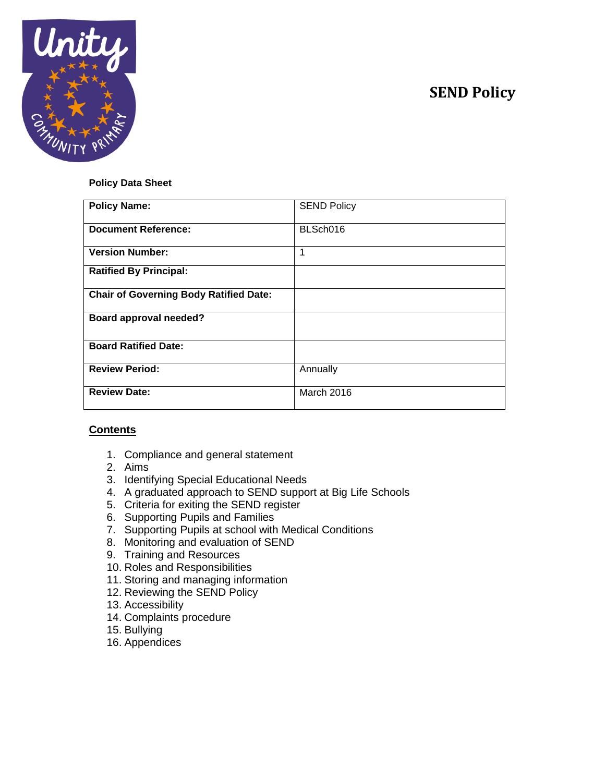# **SEND Policy**



#### **Policy Data Sheet**

| <b>Policy Name:</b>                           | <b>SEND Policy</b> |
|-----------------------------------------------|--------------------|
| <b>Document Reference:</b>                    | BLSch016           |
| <b>Version Number:</b>                        | 1                  |
| <b>Ratified By Principal:</b>                 |                    |
| <b>Chair of Governing Body Ratified Date:</b> |                    |
| Board approval needed?                        |                    |
| <b>Board Ratified Date:</b>                   |                    |
| <b>Review Period:</b>                         | Annually           |
| <b>Review Date:</b>                           | March 2016         |

### **Contents**

- 1. Compliance and general statement
- 2. Aims
- 3. Identifying Special Educational Needs
- 4. A graduated approach to SEND support at Big Life Schools
- 5. Criteria for exiting the SEND register
- 6. Supporting Pupils and Families
- 7. Supporting Pupils at school with Medical Conditions
- 8. Monitoring and evaluation of SEND
- 9. Training and Resources
- 10. Roles and Responsibilities
- 11. Storing and managing information
- 12. Reviewing the SEND Policy
- 13. Accessibility
- 14. Complaints procedure
- 15. Bullying
- 16. Appendices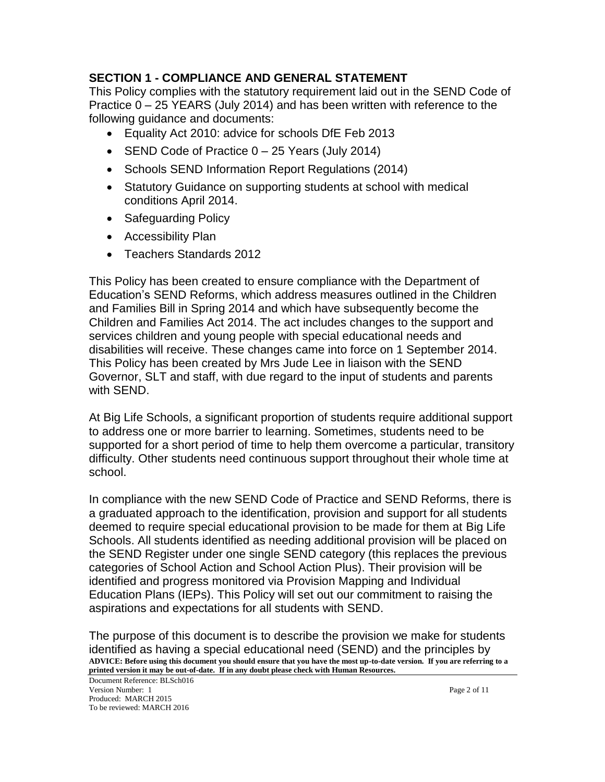### **SECTION 1 - COMPLIANCE AND GENERAL STATEMENT**

This Policy complies with the statutory requirement laid out in the SEND Code of Practice 0 – 25 YEARS (July 2014) and has been written with reference to the following guidance and documents:

- Equality Act 2010: advice for schools DfE Feb 2013
- SEND Code of Practice 0 25 Years (July 2014)
- Schools SEND Information Report Regulations (2014)
- Statutory Guidance on supporting students at school with medical conditions April 2014.
- Safeguarding Policy
- Accessibility Plan
- Teachers Standards 2012

This Policy has been created to ensure compliance with the Department of Education's SEND Reforms, which address measures outlined in the Children and Families Bill in Spring 2014 and which have subsequently become the Children and Families Act 2014. The act includes changes to the support and services children and young people with special educational needs and disabilities will receive. These changes came into force on 1 September 2014. This Policy has been created by Mrs Jude Lee in liaison with the SEND Governor, SLT and staff, with due regard to the input of students and parents with SEND.

At Big Life Schools, a significant proportion of students require additional support to address one or more barrier to learning. Sometimes, students need to be supported for a short period of time to help them overcome a particular, transitory difficulty. Other students need continuous support throughout their whole time at school.

In compliance with the new SEND Code of Practice and SEND Reforms, there is a graduated approach to the identification, provision and support for all students deemed to require special educational provision to be made for them at Big Life Schools. All students identified as needing additional provision will be placed on the SEND Register under one single SEND category (this replaces the previous categories of School Action and School Action Plus). Their provision will be identified and progress monitored via Provision Mapping and Individual Education Plans (IEPs). This Policy will set out our commitment to raising the aspirations and expectations for all students with SEND.

**ADVICE: Before using this document you should ensure that you have the most up-to-date version. If you are referring to a printed version it may be out-of-date. If in any doubt please check with Human Resources.** The purpose of this document is to describe the provision we make for students identified as having a special educational need (SEND) and the principles by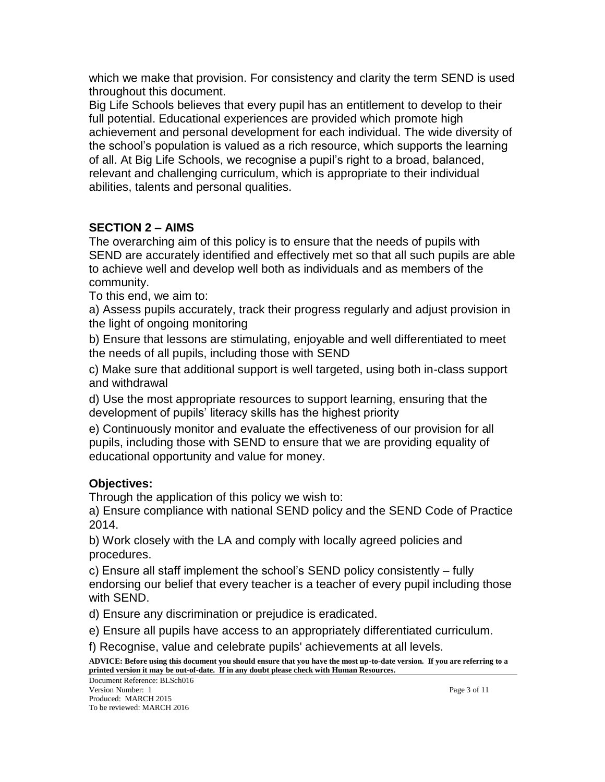which we make that provision. For consistency and clarity the term SEND is used throughout this document.

Big Life Schools believes that every pupil has an entitlement to develop to their full potential. Educational experiences are provided which promote high achievement and personal development for each individual. The wide diversity of the school's population is valued as a rich resource, which supports the learning of all. At Big Life Schools, we recognise a pupil's right to a broad, balanced, relevant and challenging curriculum, which is appropriate to their individual abilities, talents and personal qualities.

# **SECTION 2 – AIMS**

The overarching aim of this policy is to ensure that the needs of pupils with SEND are accurately identified and effectively met so that all such pupils are able to achieve well and develop well both as individuals and as members of the community.

To this end, we aim to:

a) Assess pupils accurately, track their progress regularly and adjust provision in the light of ongoing monitoring

b) Ensure that lessons are stimulating, enjoyable and well differentiated to meet the needs of all pupils, including those with SEND

c) Make sure that additional support is well targeted, using both in-class support and withdrawal

d) Use the most appropriate resources to support learning, ensuring that the development of pupils' literacy skills has the highest priority

e) Continuously monitor and evaluate the effectiveness of our provision for all pupils, including those with SEND to ensure that we are providing equality of educational opportunity and value for money.

# **Objectives:**

Through the application of this policy we wish to:

a) Ensure compliance with national SEND policy and the SEND Code of Practice 2014.

b) Work closely with the LA and comply with locally agreed policies and procedures.

c) Ensure all staff implement the school's SEND policy consistently – fully endorsing our belief that every teacher is a teacher of every pupil including those with SEND.

d) Ensure any discrimination or prejudice is eradicated.

e) Ensure all pupils have access to an appropriately differentiated curriculum.

f) Recognise, value and celebrate pupils' achievements at all levels.

**ADVICE: Before using this document you should ensure that you have the most up-to-date version. If you are referring to a printed version it may be out-of-date. If in any doubt please check with Human Resources.**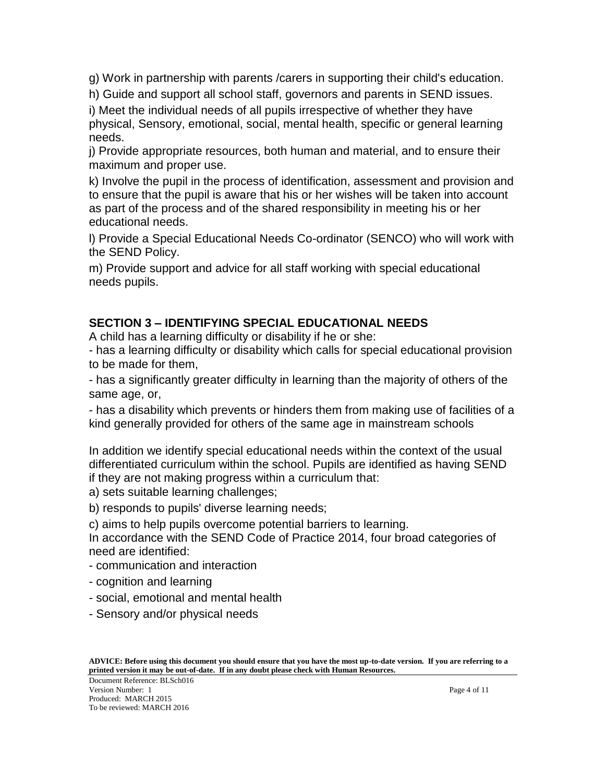g) Work in partnership with parents /carers in supporting their child's education.

h) Guide and support all school staff, governors and parents in SEND issues.

i) Meet the individual needs of all pupils irrespective of whether they have physical, Sensory, emotional, social, mental health, specific or general learning needs.

j) Provide appropriate resources, both human and material, and to ensure their maximum and proper use.

k) Involve the pupil in the process of identification, assessment and provision and to ensure that the pupil is aware that his or her wishes will be taken into account as part of the process and of the shared responsibility in meeting his or her educational needs.

l) Provide a Special Educational Needs Co-ordinator (SENCO) who will work with the SEND Policy.

m) Provide support and advice for all staff working with special educational needs pupils.

### **SECTION 3 – IDENTIFYING SPECIAL EDUCATIONAL NEEDS**

A child has a learning difficulty or disability if he or she:

- has a learning difficulty or disability which calls for special educational provision to be made for them,

- has a significantly greater difficulty in learning than the majority of others of the same age, or,

- has a disability which prevents or hinders them from making use of facilities of a kind generally provided for others of the same age in mainstream schools

In addition we identify special educational needs within the context of the usual differentiated curriculum within the school. Pupils are identified as having SEND if they are not making progress within a curriculum that:

a) sets suitable learning challenges;

b) responds to pupils' diverse learning needs;

c) aims to help pupils overcome potential barriers to learning.

In accordance with the SEND Code of Practice 2014, four broad categories of need are identified:

- communication and interaction

- cognition and learning
- social, emotional and mental health
- Sensory and/or physical needs

Document Reference: BLSch016 Version Number: 1 Page 4 of 11 Produced: MARCH 2015 To be reviewed: MARCH 2016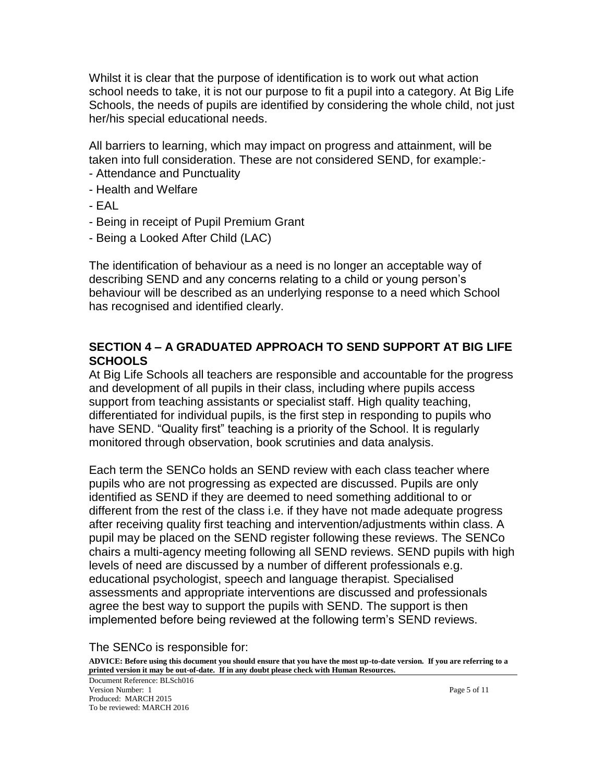Whilst it is clear that the purpose of identification is to work out what action school needs to take, it is not our purpose to fit a pupil into a category. At Big Life Schools, the needs of pupils are identified by considering the whole child, not just her/his special educational needs.

All barriers to learning, which may impact on progress and attainment, will be taken into full consideration. These are not considered SEND, for example:- - Attendance and Punctuality

- Health and Welfare
- EAL
- Being in receipt of Pupil Premium Grant
- Being a Looked After Child (LAC)

The identification of behaviour as a need is no longer an acceptable way of describing SEND and any concerns relating to a child or young person's behaviour will be described as an underlying response to a need which School has recognised and identified clearly.

### **SECTION 4 – A GRADUATED APPROACH TO SEND SUPPORT AT BIG LIFE SCHOOLS**

At Big Life Schools all teachers are responsible and accountable for the progress and development of all pupils in their class, including where pupils access support from teaching assistants or specialist staff. High quality teaching, differentiated for individual pupils, is the first step in responding to pupils who have SEND. "Quality first" teaching is a priority of the School. It is regularly monitored through observation, book scrutinies and data analysis.

Each term the SENCo holds an SEND review with each class teacher where pupils who are not progressing as expected are discussed. Pupils are only identified as SEND if they are deemed to need something additional to or different from the rest of the class i.e. if they have not made adequate progress after receiving quality first teaching and intervention/adjustments within class. A pupil may be placed on the SEND register following these reviews. The SENCo chairs a multi-agency meeting following all SEND reviews. SEND pupils with high levels of need are discussed by a number of different professionals e.g. educational psychologist, speech and language therapist. Specialised assessments and appropriate interventions are discussed and professionals agree the best way to support the pupils with SEND. The support is then implemented before being reviewed at the following term's SEND reviews.

The SENCo is responsible for:

**ADVICE: Before using this document you should ensure that you have the most up-to-date version. If you are referring to a printed version it may be out-of-date. If in any doubt please check with Human Resources.**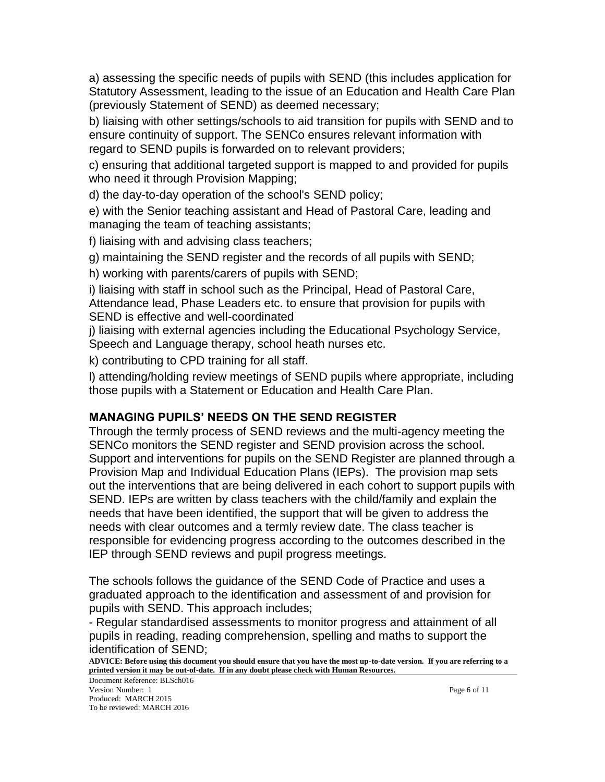a) assessing the specific needs of pupils with SEND (this includes application for Statutory Assessment, leading to the issue of an Education and Health Care Plan (previously Statement of SEND) as deemed necessary;

b) liaising with other settings/schools to aid transition for pupils with SEND and to ensure continuity of support. The SENCo ensures relevant information with regard to SEND pupils is forwarded on to relevant providers;

c) ensuring that additional targeted support is mapped to and provided for pupils who need it through Provision Mapping;

d) the day-to-day operation of the school's SEND policy;

e) with the Senior teaching assistant and Head of Pastoral Care, leading and managing the team of teaching assistants;

f) liaising with and advising class teachers;

g) maintaining the SEND register and the records of all pupils with SEND;

h) working with parents/carers of pupils with SEND;

i) liaising with staff in school such as the Principal, Head of Pastoral Care, Attendance lead, Phase Leaders etc. to ensure that provision for pupils with SEND is effective and well-coordinated

j) liaising with external agencies including the Educational Psychology Service, Speech and Language therapy, school heath nurses etc.

k) contributing to CPD training for all staff.

l) attending/holding review meetings of SEND pupils where appropriate, including those pupils with a Statement or Education and Health Care Plan.

# **MANAGING PUPILS' NEEDS ON THE SEND REGISTER**

Through the termly process of SEND reviews and the multi-agency meeting the SENCo monitors the SEND register and SEND provision across the school. Support and interventions for pupils on the SEND Register are planned through a Provision Map and Individual Education Plans (IEPs). The provision map sets out the interventions that are being delivered in each cohort to support pupils with SEND. IEPs are written by class teachers with the child/family and explain the needs that have been identified, the support that will be given to address the needs with clear outcomes and a termly review date. The class teacher is responsible for evidencing progress according to the outcomes described in the IEP through SEND reviews and pupil progress meetings.

The schools follows the guidance of the SEND Code of Practice and uses a graduated approach to the identification and assessment of and provision for pupils with SEND. This approach includes;

- Regular standardised assessments to monitor progress and attainment of all pupils in reading, reading comprehension, spelling and maths to support the identification of SEND;

**ADVICE: Before using this document you should ensure that you have the most up-to-date version. If you are referring to a printed version it may be out-of-date. If in any doubt please check with Human Resources.**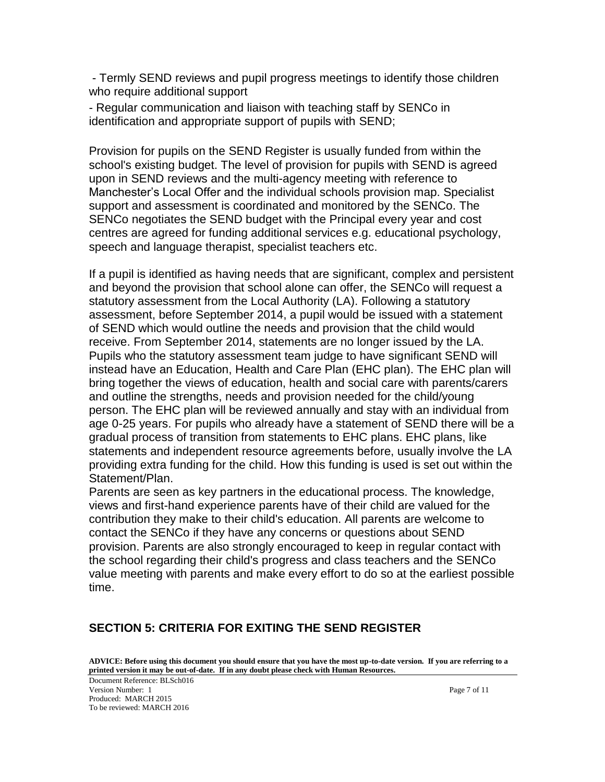- Termly SEND reviews and pupil progress meetings to identify those children who require additional support

- Regular communication and liaison with teaching staff by SENCo in identification and appropriate support of pupils with SEND;

Provision for pupils on the SEND Register is usually funded from within the school's existing budget. The level of provision for pupils with SEND is agreed upon in SEND reviews and the multi-agency meeting with reference to Manchester's Local Offer and the individual schools provision map. Specialist support and assessment is coordinated and monitored by the SENCo. The SENCo negotiates the SEND budget with the Principal every year and cost centres are agreed for funding additional services e.g. educational psychology, speech and language therapist, specialist teachers etc.

If a pupil is identified as having needs that are significant, complex and persistent and beyond the provision that school alone can offer, the SENCo will request a statutory assessment from the Local Authority (LA). Following a statutory assessment, before September 2014, a pupil would be issued with a statement of SEND which would outline the needs and provision that the child would receive. From September 2014, statements are no longer issued by the LA. Pupils who the statutory assessment team judge to have significant SEND will instead have an Education, Health and Care Plan (EHC plan). The EHC plan will bring together the views of education, health and social care with parents/carers and outline the strengths, needs and provision needed for the child/young person. The EHC plan will be reviewed annually and stay with an individual from age 0-25 years. For pupils who already have a statement of SEND there will be a gradual process of transition from statements to EHC plans. EHC plans, like statements and independent resource agreements before, usually involve the LA providing extra funding for the child. How this funding is used is set out within the Statement/Plan.

Parents are seen as key partners in the educational process. The knowledge, views and first-hand experience parents have of their child are valued for the contribution they make to their child's education. All parents are welcome to contact the SENCo if they have any concerns or questions about SEND provision. Parents are also strongly encouraged to keep in regular contact with the school regarding their child's progress and class teachers and the SENCo value meeting with parents and make every effort to do so at the earliest possible time.

### **SECTION 5: CRITERIA FOR EXITING THE SEND REGISTER**

**ADVICE: Before using this document you should ensure that you have the most up-to-date version. If you are referring to a printed version it may be out-of-date. If in any doubt please check with Human Resources.**

Document Reference: BLSch016 Version Number: 1 Page 7 of 11 Produced: MARCH 2015 To be reviewed: MARCH 2016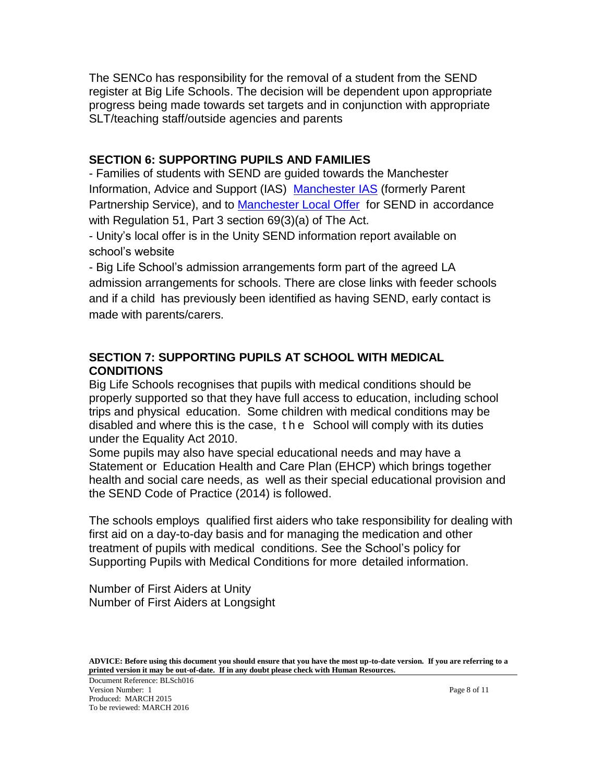The SENCo has responsibility for the removal of a student from the SEND register at Big Life Schools. The decision will be dependent upon appropriate progress being made towards set targets and in conjunction with appropriate SLT/teaching staff/outside agencies and parents

### **SECTION 6: SUPPORTING PUPILS AND FAMILIES**

- Families of students with SEND are guided towards the Manchester Information, Advice and Support (IAS) [Manchester IAS](http://www.manchester.gov.uk/info/500132/special_educational_needs/628/information_advice_and_support_ias_manchester_formerly_parent_partnership_service/2) (formerly Parent Partnership Service), and to [Manchester Local Offer](http://www.manchester.gov.uk/info/500132/special_educational_needs/6181/manchesters_local_offer_for_children_and_young_people_with_sen_and_disabilities) for SEND in accordance with Regulation 51, Part 3 section 69(3)(a) of The Act.

- Unity's local offer is in the Unity SEND information report available on school's website

- Big Life School's admission arrangements form part of the agreed LA admission arrangements for schools. There are close links with feeder schools and if a child has previously been identified as having SEND, early contact is made with parents/carers.

### **SECTION 7: SUPPORTING PUPILS AT SCHOOL WITH MEDICAL CONDITIONS**

Big Life Schools recognises that pupils with medical conditions should be properly supported so that they have full access to education, including school trips and physical education. Some children with medical conditions may be disabled and where this is the case, t h e School will comply with its duties under the Equality Act 2010.

Some pupils may also have special educational needs and may have a Statement or Education Health and Care Plan (EHCP) which brings together health and social care needs, as well as their special educational provision and the SEND Code of Practice (2014) is followed.

The schools employs qualified first aiders who take responsibility for dealing with first aid on a day-to-day basis and for managing the medication and other treatment of pupils with medical conditions. See the School's policy for Supporting Pupils with Medical Conditions for more detailed information.

Number of First Aiders at Unity Number of First Aiders at Longsight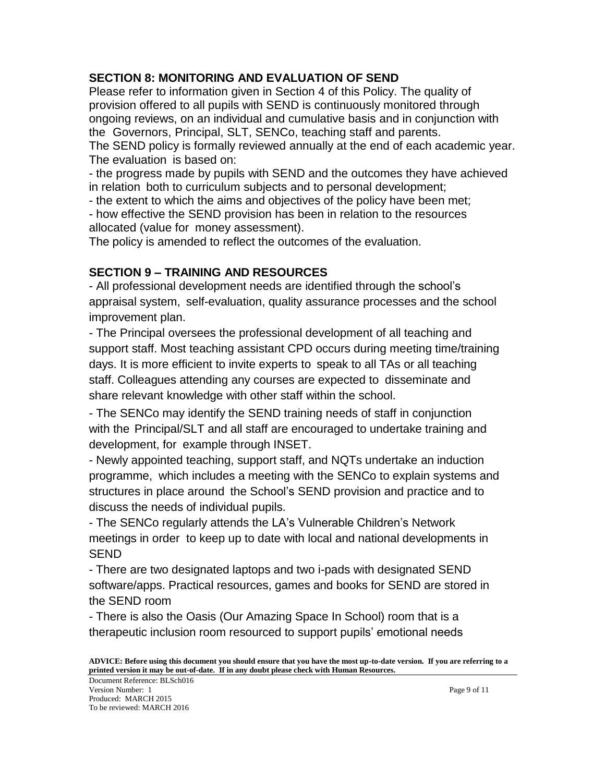### **SECTION 8: MONITORING AND EVALUATION OF SEND**

Please refer to information given in Section 4 of this Policy. The quality of provision offered to all pupils with SEND is continuously monitored through ongoing reviews, on an individual and cumulative basis and in conjunction with the Governors, Principal, SLT, SENCo, teaching staff and parents.

The SEND policy is formally reviewed annually at the end of each academic year. The evaluation is based on:

- the progress made by pupils with SEND and the outcomes they have achieved in relation both to curriculum subjects and to personal development;

- the extent to which the aims and objectives of the policy have been met;

- how effective the SEND provision has been in relation to the resources allocated (value for money assessment).

The policy is amended to reflect the outcomes of the evaluation.

### **SECTION 9 – TRAINING AND RESOURCES**

- All professional development needs are identified through the school's appraisal system, self-evaluation, quality assurance processes and the school improvement plan.

- The Principal oversees the professional development of all teaching and support staff. Most teaching assistant CPD occurs during meeting time/training days. It is more efficient to invite experts to speak to all TAs or all teaching staff. Colleagues attending any courses are expected to disseminate and share relevant knowledge with other staff within the school.

- The SENCo may identify the SEND training needs of staff in conjunction with the Principal/SLT and all staff are encouraged to undertake training and development, for example through INSET.

- Newly appointed teaching, support staff, and NQTs undertake an induction programme, which includes a meeting with the SENCo to explain systems and structures in place around the School's SEND provision and practice and to discuss the needs of individual pupils.

- The SENCo regularly attends the LA's Vulnerable Children's Network meetings in order to keep up to date with local and national developments in SEND

- There are two designated laptops and two i-pads with designated SEND software/apps. Practical resources, games and books for SEND are stored in the SEND room

- There is also the Oasis (Our Amazing Space In School) room that is a therapeutic inclusion room resourced to support pupils' emotional needs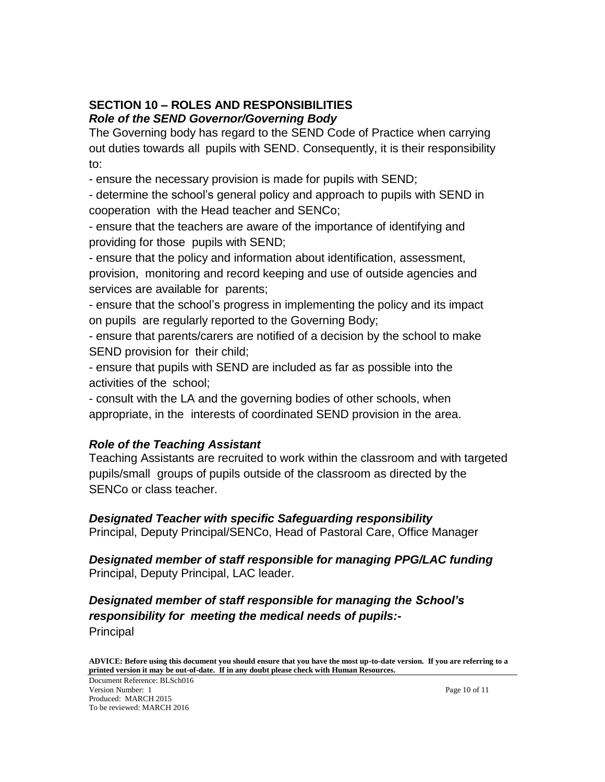### **SECTION 10 – ROLES AND RESPONSIBILITIES** *Role of the SEND Governor/Governing Body*

The Governing body has regard to the SEND Code of Practice when carrying out duties towards all pupils with SEND. Consequently, it is their responsibility to:

- ensure the necessary provision is made for pupils with SEND;

- determine the school's general policy and approach to pupils with SEND in cooperation with the Head teacher and SENCo;

- ensure that the teachers are aware of the importance of identifying and providing for those pupils with SEND;

- ensure that the policy and information about identification, assessment, provision, monitoring and record keeping and use of outside agencies and services are available for parents;

- ensure that the school's progress in implementing the policy and its impact on pupils are regularly reported to the Governing Body;

- ensure that parents/carers are notified of a decision by the school to make SEND provision for their child;

- ensure that pupils with SEND are included as far as possible into the activities of the school;

- consult with the LA and the governing bodies of other schools, when appropriate, in the interests of coordinated SEND provision in the area.

### *Role of the Teaching Assistant*

Teaching Assistants are recruited to work within the classroom and with targeted pupils/small groups of pupils outside of the classroom as directed by the SENCo or class teacher.

#### *Designated Teacher with specific Safeguarding responsibility* Principal, Deputy Principal/SENCo, Head of Pastoral Care, Office Manager

*Designated member of staff responsible for managing PPG/LAC funding* Principal, Deputy Principal, LAC leader.

*Designated member of staff responsible for managing the School's responsibility for meeting the medical needs of pupils:-* Principal

**ADVICE: Before using this document you should ensure that you have the most up-to-date version. If you are referring to a printed version it may be out-of-date. If in any doubt please check with Human Resources.**

Document Reference: BLSch016 Version Number: 1 Page 10 of 11 Produced: MARCH 2015 To be reviewed: MARCH 2016